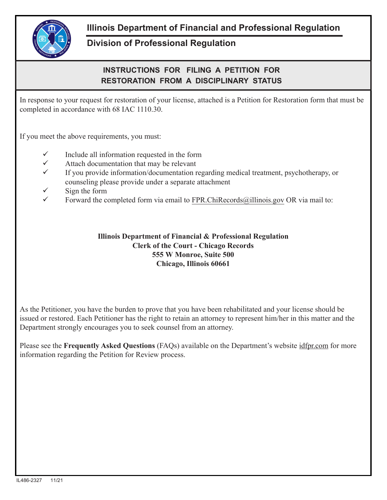

## **Illinois Department of Financial and Professional Regulation**

## **Division of Professional Regulation**

## **INSTRUCTIONS FOR FILING A PETITION FOR RESTORATION FROM A DISCIPLINARY STATUS**

In response to your request for restoration of your license, attached is a Petition for Restoration form that must be completed in accordance with 68 IAC 1110.30.

If you meet the above requirements, you must:

- $\checkmark$  Include all information requested in the form
- $\checkmark$  Attach documentation that may be relevant
- $\checkmark$  If you provide information/documentation regarding medical treatment, psychotherapy, or counseling please provide under a separate attachment
- $\checkmark$  Sign the form
- Forward the completed form via email to FPR.ChiRecords@illinois.gov OR via mail to:

## **Illinois Department of Financial & Professional Regulation Clerk of the Court - Chicago Records 555 W Monroe, Suite 500 Chicago, Illinois 60661**

As the Petitioner, you have the burden to prove that you have been rehabilitated and your license should be issued or restored. Each Petitioner has the right to retain an attorney to represent him/her in this matter and the Department strongly encourages you to seek counsel from an attorney.

Please see the **Frequently Asked Questions** (FAQs) available on the Department's website idfpr.com for more information regarding the Petition for Review process.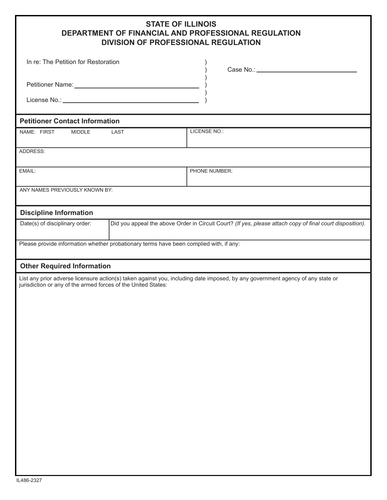| <b>STATE OF ILLINOIS</b>                            |
|-----------------------------------------------------|
| DEPARTMENT OF FINANCIAL AND PROFESSIONAL REGULATION |
| <b>DIVISION OF PROFESSIONAL REGULATION</b>          |

| In re: The Petition for Restoration                                                                           |                                                                                                           |                                                                                                                                |  |  |
|---------------------------------------------------------------------------------------------------------------|-----------------------------------------------------------------------------------------------------------|--------------------------------------------------------------------------------------------------------------------------------|--|--|
| Petitioner Name: Name: Name and Allen Manual Allen Manual Allen Manual Allen Manual Allen Manual Allen Manual |                                                                                                           |                                                                                                                                |  |  |
|                                                                                                               |                                                                                                           |                                                                                                                                |  |  |
| <b>Petitioner Contact Information</b>                                                                         |                                                                                                           |                                                                                                                                |  |  |
| NAME: FIRST<br><b>MIDDLE</b>                                                                                  | LAST                                                                                                      | LICENSE NO.:                                                                                                                   |  |  |
| ADDRESS:                                                                                                      |                                                                                                           |                                                                                                                                |  |  |
| EMAIL:                                                                                                        |                                                                                                           | PHONE NUMBER:                                                                                                                  |  |  |
| ANY NAMES PREVIOUSLY KNOWN BY:                                                                                |                                                                                                           |                                                                                                                                |  |  |
| <b>Discipline Information</b>                                                                                 |                                                                                                           |                                                                                                                                |  |  |
| Date(s) of disciplinary order:                                                                                | Did you appeal the above Order in Circuit Court? (If yes, please attach copy of final court disposition). |                                                                                                                                |  |  |
| Please provide information whether probationary terms have been complied with, if any:                        |                                                                                                           |                                                                                                                                |  |  |
| <b>Other Required Information</b>                                                                             |                                                                                                           |                                                                                                                                |  |  |
| jurisdiction or any of the armed forces of the United States:                                                 |                                                                                                           | List any prior adverse licensure action(s) taken against you, including date imposed, by any government agency of any state or |  |  |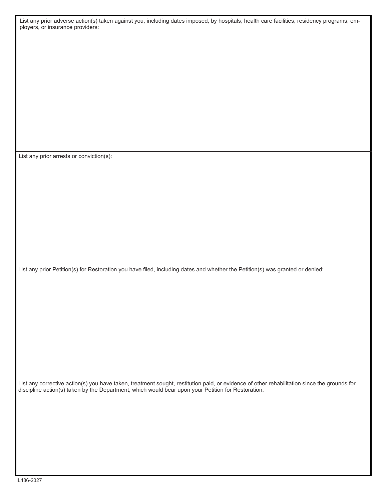List any prior adverse action(s) taken against you, including dates imposed, by hospitals, health care facilities, residency programs, employers, or insurance providers:

List any prior arrests or conviction(s):

List any prior Petition(s) for Restoration you have filed, including dates and whether the Petition(s) was granted or denied:

List any corrective action(s) you have taken, treatment sought, restitution paid, or evidence of other rehabilitation since the grounds for discipline action(s) taken by the Department, which would bear upon your Petition for Restoration: